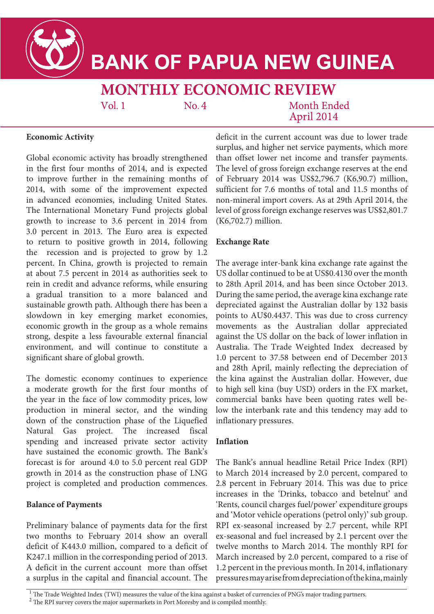

# **BANK OF PAPUA NEW GUINEA**

# **MONTHLY ECONOMIC REVIEW**

 $Vol<sub>1</sub>$ 

 $No.4$ 

**Month Ended** April 2014

# **Economic Activity**

Global economic activity has broadly strengthened in the first four months of 2014, and is expected to improve further in the remaining months of 2014, with some of the improvement expected in advanced economies, including United States. The International Monetary Fund projects global growth to increase to 3.6 percent in 2014 from 3.0 percent in 2013. The Euro area is expected to return to positive growth in 2014, following the recession and is projected to grow by 1.2 percent. In China, growth is projected to remain at about 7.5 percent in 2014 as authorities seek to rein in credit and advance reforms, while ensuring a gradual transition to a more balanced and sustainable growth path. Although there has been a slowdown in key emerging market economies, economic growth in the group as a whole remains strong, despite a less favourable external financial environment, and will continue to constitute a significant share of global growth.

The domestic economy continues to experience a moderate growth for the first four months of the year in the face of low commodity prices, low production in mineral sector, and the winding down of the construction phase of the Liquefied Natural Gas project. The increased fiscal spending and increased private sector activity have sustained the economic growth. The Bank's forecast is for around 4.0 to 5.0 percent real GDP growth in 2014 as the construction phase of LNG project is completed and production commences.

#### **Balance of Payments**

Preliminary balance of payments data for the first two months to February 2014 show an overall deficit of K443.0 million, compared to a deficit of K247.1 million in the corresponding period of 2013. A deficit in the current account more than offset a surplus in the capital and financial account. The deficit in the current account was due to lower trade surplus, and higher net service payments, which more than offset lower net income and transfer payments. The level of gross foreign exchange reserves at the end of February 2014 was US\$2,796.7 (K6,90.7) million, sufficient for 7.6 months of total and 11.5 months of non-mineral import covers. As at 29th April 2014, the level of gross foreign exchange reserves was US\$2,801.7 (K6,702.7) million.

#### **Exchange Rate**

The average inter-bank kina exchange rate against the US dollar continued to be at US\$0.4130 over the month to 28th April 2014, and has been since October 2013. During the same period, the average kina exchange rate depreciated against the Australian dollar by 132 basis points to AU\$0.4437. This was due to cross currency movements as the Australian dollar appreciated against the US dollar on the back of lower inflation in Australia. The Trade Weighted Index decreased by 1.0 percent to 37.58 between end of December 2013 and 28th April, mainly reflecting the depreciation of the kina against the Australian dollar. However, due to high sell kina (buy USD) orders in the FX market, commercial banks have been quoting rates well below the interbank rate and this tendency may add to inflationary pressures.

# **Inflation**

The Bank's annual headline Retail Price Index (RPI) to March 2014 increased by 2.0 percent, compared to 2.8 percent in February 2014. This was due to price increases in the 'Drinks, tobacco and betelnut' and 'Rents, council charges fuel/power' expenditure groups and 'Motor vehicle operations (petrol only)' sub group. RPI ex-seasonal increased by 2.7 percent, while RPI ex-seasonal and fuel increased by 2.1 percent over the twelve months to March 2014. The monthly RPI for March increased by 2.0 percent, compared to a rise of 1.2 percent in the previous month. In 2014, inflationary pressures may arise from depreciation of the kina, mainly

<sup>&</sup>lt;sup>1</sup> The Trade Weighted Index (TWI) measures the value of the kina against a basket of currencies of PNG's major trading partners.

<sup>&</sup>lt;sup>2</sup> The RPI survey covers the major supermarkets in Port Moresby and is compiled monthly.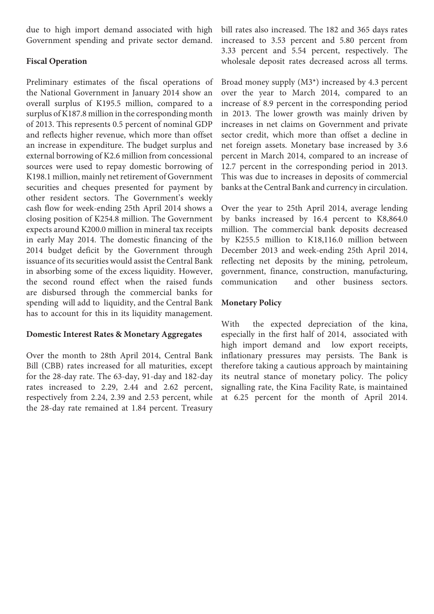due to high import demand associated with high Government spending and private sector demand.

#### **Fiscal Operation**

Preliminary estimates of the fiscal operations of the National Government in January 2014 show an overall surplus of K195.5 million, compared to a surplus of K187.8 million in the corresponding month of 2013. This represents 0.5 percent of nominal GDP and reflects higher revenue, which more than offset an increase in expenditure. The budget surplus and external borrowing of K2.6 million from concessional sources were used to repay domestic borrowing of K198.1 million, mainly net retirement of Government securities and cheques presented for payment by other resident sectors. The Government's weekly cash flow for week-ending 25th April 2014 shows a closing position of K254.8 million. The Government expects around K200.0 million in mineral tax receipts in early May 2014. The domestic financing of the 2014 budget deficit by the Government through issuance of its securities would assist the Central Bank in absorbing some of the excess liquidity. However, the second round effect when the raised funds are disbursed through the commercial banks for spending will add to liquidity, and the Central Bank has to account for this in its liquidity management.

# **Domestic Interest Rates & Monetary Aggregates**

Over the month to 28th April 2014, Central Bank Bill (CBB) rates increased for all maturities, except for the 28-day rate. The 63-day, 91-day and 182-day rates increased to 2.29, 2.44 and 2.62 percent, respectively from 2.24, 2.39 and 2.53 percent, while the 28-day rate remained at 1.84 percent. Treasury

bill rates also increased. The 182 and 365 days rates increased to 3.53 percent and 5.80 percent from 3.33 percent and 5.54 percent, respectively. The wholesale deposit rates decreased across all terms.

Broad money supply (M3\*) increased by 4.3 percent over the year to March 2014, compared to an increase of 8.9 percent in the corresponding period in 2013. The lower growth was mainly driven by increases in net claims on Government and private sector credit, which more than offset a decline in net foreign assets. Monetary base increased by 3.6 percent in March 2014, compared to an increase of 12.7 percent in the corresponding period in 2013. This was due to increases in deposits of commercial banks at the Central Bank and currency in circulation.

Over the year to 25th April 2014, average lending by banks increased by 16.4 percent to K8,864.0 million. The commercial bank deposits decreased by K255.5 million to K18,116.0 million between December 2013 and week-ending 25th April 2014, reflecting net deposits by the mining, petroleum, government, finance, construction, manufacturing, communication and other business sectors.

#### **Monetary Policy**

With the expected depreciation of the kina, especially in the first half of 2014, associated with high import demand and low export receipts, inflationary pressures may persists. The Bank is therefore taking a cautious approach by maintaining its neutral stance of monetary policy. The policy signalling rate, the Kina Facility Rate, is maintained at 6.25 percent for the month of April 2014.